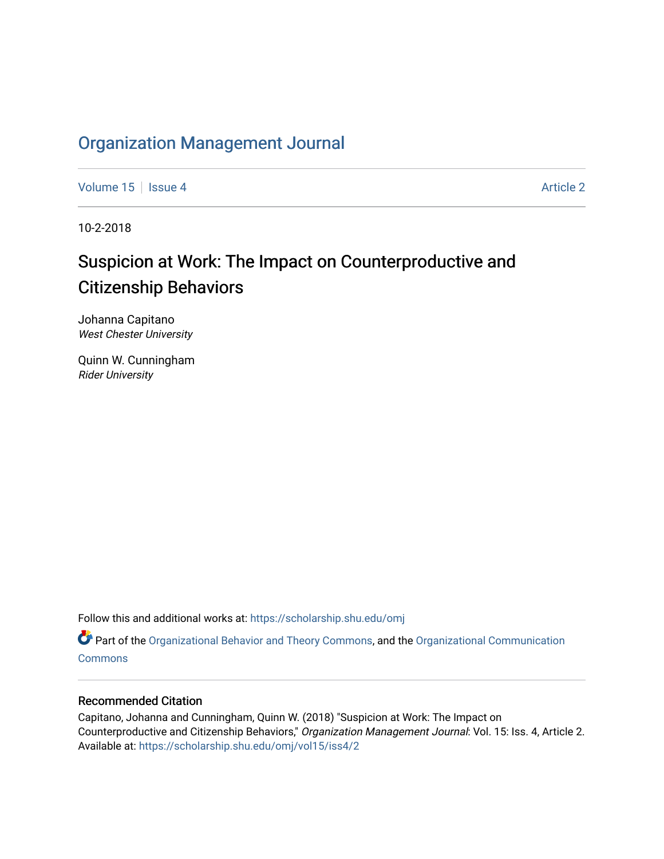# [Organization Management Journal](https://scholarship.shu.edu/omj)

[Volume 15](https://scholarship.shu.edu/omj/vol15) Setsue 4 [Article 2](https://scholarship.shu.edu/omj/vol15/iss4/2) Article 2 Article 2 Article 2 Article 2 Article 2 Article 2

10-2-2018

# Suspicion at Work: The Impact on Counterproductive and Citizenship Behaviors

Johanna Capitano West Chester University

Quinn W. Cunningham Rider University

Follow this and additional works at: [https://scholarship.shu.edu/omj](https://scholarship.shu.edu/omj?utm_source=scholarship.shu.edu%2Fomj%2Fvol15%2Fiss4%2F2&utm_medium=PDF&utm_campaign=PDFCoverPages) 

Part of the [Organizational Behavior and Theory Commons,](http://network.bepress.com/hgg/discipline/639?utm_source=scholarship.shu.edu%2Fomj%2Fvol15%2Fiss4%2F2&utm_medium=PDF&utm_campaign=PDFCoverPages) and the [Organizational Communication](http://network.bepress.com/hgg/discipline/335?utm_source=scholarship.shu.edu%2Fomj%2Fvol15%2Fiss4%2F2&utm_medium=PDF&utm_campaign=PDFCoverPages) **[Commons](http://network.bepress.com/hgg/discipline/335?utm_source=scholarship.shu.edu%2Fomj%2Fvol15%2Fiss4%2F2&utm_medium=PDF&utm_campaign=PDFCoverPages)** 

# Recommended Citation

Capitano, Johanna and Cunningham, Quinn W. (2018) "Suspicion at Work: The Impact on Counterproductive and Citizenship Behaviors," Organization Management Journal: Vol. 15: Iss. 4, Article 2. Available at: [https://scholarship.shu.edu/omj/vol15/iss4/2](https://scholarship.shu.edu/omj/vol15/iss4/2?utm_source=scholarship.shu.edu%2Fomj%2Fvol15%2Fiss4%2F2&utm_medium=PDF&utm_campaign=PDFCoverPages)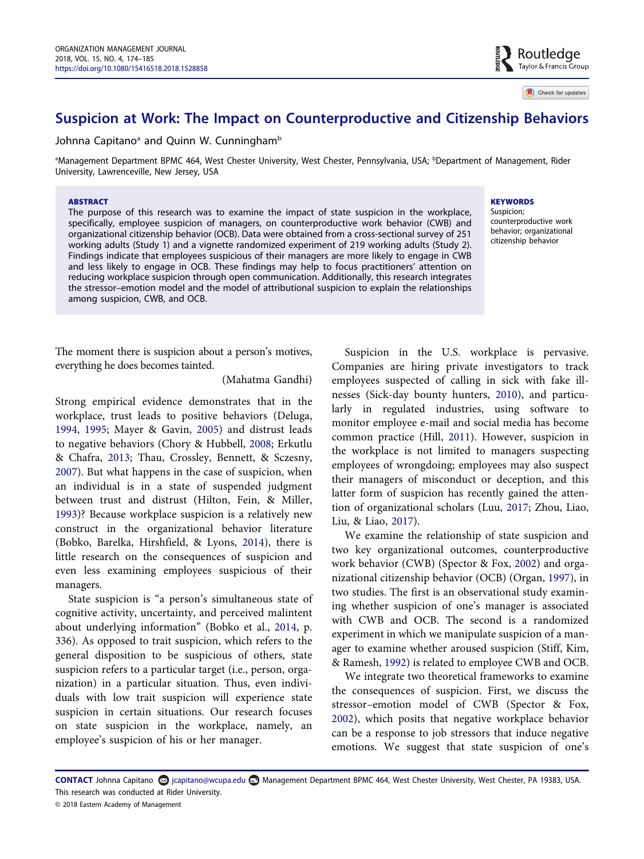# Suspicion at Work: The Impact on Counterproductive and Citizenship Behaviors

Johnna Capitano<sup>a</sup> and Quinn W. Cunningham<sup>[b](#page-1-0)</sup>

<span id="page-1-0"></span>a Management Department BPMC 464, West Chester University, West Chester, Pennsylvania, USA; <sup>b</sup> Department of Management, Rider University, Lawrenceville, New Jersey, USA

#### ABSTRACT

The purpose of this research was to examine the impact of state suspicion in the workplace, specifically, employee suspicion of managers, on counterproductive work behavior (CWB) and organizational citizenship behavior (OCB). Data were obtained from a cross-sectional survey of 251 working adults (Study 1) and a vignette randomized experiment of 219 working adults (Study 2). Findings indicate that employees suspicious of their managers are more likely to engage in CWB and less likely to engage in OCB. These findings may help to focus practitioners' attention on reducing workplace suspicion through open communication. Additionally, this research integrates the stressor–emotion model and the model of attributional suspicion to explain the relationships among suspicion, CWB, and OCB.

The moment there is suspicion about a person's motives, everything he does becomes tainted.

(Mahatma Gandhi)

<span id="page-1-7"></span><span id="page-1-5"></span><span id="page-1-4"></span><span id="page-1-3"></span><span id="page-1-2"></span>Strong empirical evidence demonstrates that in the workplace, trust leads to positive behaviors (Deluga, [1994](#page-10-0), [1995](#page-10-1); Mayer & Gavin, [2005\)](#page-11-0) and distrust leads to negative behaviors (Chory & Hubbell, [2008](#page-10-2); Erkutlu & Chafra, [2013;](#page-10-3) Thau, Crossley, Bennett, & Sczesny, [2007](#page-11-1)). But what happens in the case of suspicion, when an individual is in a state of suspended judgment between trust and distrust (Hilton, Fein, & Miller, [1993](#page-11-2))? Because workplace suspicion is a relatively new construct in the organizational behavior literature (Bobko, Barelka, Hirshfield, & Lyons, [2014\)](#page-10-4), there is little research on the consequences of suspicion and even less examining employees suspicious of their managers.

<span id="page-1-1"></span>State suspicion is "a person's simultaneous state of cognitive activity, uncertainty, and perceived malintent about underlying information" (Bobko et al., [2014](#page-10-4), p. 336). As opposed to trait suspicion, which refers to the general disposition to be suspicious of others, state suspicion refers to a particular target (i.e., person, organization) in a particular situation. Thus, even individuals with low trait suspicion will experience state suspicion in certain situations. Our research focuses on state suspicion in the workplace, namely, an employee's suspicion of his or her manager.

## **KEYWORDS**

Suspicion; counterproductive work behavior; organizational citizenship behavior

<span id="page-1-10"></span><span id="page-1-6"></span>Suspicion in the U.S. workplace is pervasive. Companies are hiring private investigators to track employees suspected of calling in sick with fake illnesses (Sick-day bounty hunters, [2010](#page-11-3)), and particularly in regulated industries, using software to monitor employee e-mail and social media has become common practice (Hill, [2011\)](#page-11-4). However, suspicion in the workplace is not limited to managers suspecting employees of wrongdoing; employees may also suspect their managers of misconduct or deception, and this latter form of suspicion has recently gained the attention of organizational scholars (Luu, [2017](#page-11-5); Zhou, Liao, Liu, & Liao, [2017](#page-12-0)).

<span id="page-1-13"></span><span id="page-1-9"></span><span id="page-1-8"></span>We examine the relationship of state suspicion and two key organizational outcomes, counterproductive work behavior (CWB) (Spector & Fox, [2002\)](#page-11-6) and organizational citizenship behavior (OCB) (Organ, [1997\)](#page-11-7), in two studies. The first is an observational study examining whether suspicion of one's manager is associated with CWB and OCB. The second is a randomized experiment in which we manipulate suspicion of a manager to examine whether aroused suspicion (Stiff, Kim, & Ramesh, [1992\)](#page-11-8) is related to employee CWB and OCB.

<span id="page-1-12"></span><span id="page-1-11"></span>We integrate two theoretical frameworks to examine the consequences of suspicion. First, we discuss the stressor–emotion model of CWB (Spector & Fox, [2002](#page-11-6)), which posits that negative workplace behavior can be a response to job stressors that induce negative emotions. We suggest that state suspicion of one's

CONTACT Johnna Capitano @ jcapitano@wcupa.edu @ Management Department BPMC 464, West Chester University, West Chester, PA 19383, USA. This research was conducted at Rider University.

<sup>© 2018</sup> Eastern Academy of Management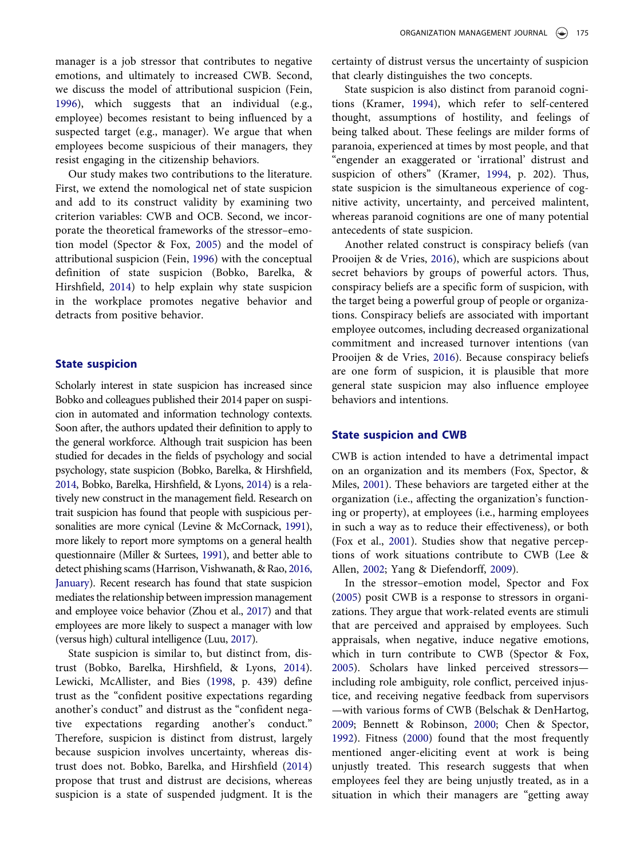manager is a job stressor that contributes to negative emotions, and ultimately to increased CWB. Second, we discuss the model of attributional suspicion (Fein, [1996](#page-10-5)), which suggests that an individual (e.g., employee) becomes resistant to being influenced by a suspected target (e.g., manager). We argue that when employees become suspicious of their managers, they resist engaging in the citizenship behaviors.

<span id="page-2-3"></span>Our study makes two contributions to the literature. First, we extend the nomological net of state suspicion and add to its construct validity by examining two criterion variables: CWB and OCB. Second, we incorporate the theoretical frameworks of the stressor–emotion model (Spector & Fox, [2005\)](#page-11-9) and the model of attributional suspicion (Fein, [1996\)](#page-10-5) with the conceptual definition of state suspicion (Bobko, Barelka, & Hirshfield, [2014](#page-10-6)) to help explain why state suspicion in the workplace promotes negative behavior and detracts from positive behavior.

# State suspicion

<span id="page-2-9"></span>Scholarly interest in state suspicion has increased since Bobko and colleagues published their 2014 paper on suspicion in automated and information technology contexts. Soon after, the authors updated their definition to apply to the general workforce. Although trait suspicion has been studied for decades in the fields of psychology and social psychology, state suspicion (Bobko, Barelka, & Hirshfield, [2014](#page-10-6), Bobko, Barelka, Hirshfield, & Lyons, [2014\)](#page-10-4) is a relatively new construct in the management field. Research on trait suspicion has found that people with suspicious personalities are more cynical (Levine & McCornack, [1991](#page-11-10)), more likely to report more symptoms on a general health questionnaire (Miller & Surtees, [1991\)](#page-11-11), and better able to detect phishing scams (Harrison, Vishwanath, & Rao, [2016,](#page-11-12) [January](#page-11-12)). Recent research has found that state suspicion mediates the relationship between impression management and employee voice behavior (Zhou et al., [2017\)](#page-12-0) and that employees are more likely to suspect a manager with low (versus high) cultural intelligence (Luu, [2017](#page-11-5)).

<span id="page-2-11"></span><span id="page-2-10"></span><span id="page-2-6"></span><span id="page-2-2"></span>State suspicion is similar to, but distinct from, distrust (Bobko, Barelka, Hirshfield, & Lyons, [2014\)](#page-10-4). Lewicki, McAllister, and Bies [\(1998](#page-11-13), p. 439) define trust as the "confident positive expectations regarding another's conduct" and distrust as the "confident negative expectations regarding another's conduct." Therefore, suspicion is distinct from distrust, largely because suspicion involves uncertainty, whereas distrust does not. Bobko, Barelka, and Hirshfield [\(2014](#page-10-6)) propose that trust and distrust are decisions, whereas suspicion is a state of suspended judgment. It is the certainty of distrust versus the uncertainty of suspicion that clearly distinguishes the two concepts.

State suspicion is also distinct from paranoid cognitions (Kramer, [1994](#page-11-14)), which refer to self-centered thought, assumptions of hostility, and feelings of being talked about. These feelings are milder forms of paranoia, experienced at times by most people, and that "engender an exaggerated or 'irrational' distrust and suspicion of others" (Kramer, [1994,](#page-11-14) p. 202). Thus, state suspicion is the simultaneous experience of cognitive activity, uncertainty, and perceived malintent, whereas paranoid cognitions are one of many potential antecedents of state suspicion.

<span id="page-2-7"></span>Another related construct is conspiracy beliefs (van Prooijen & de Vries, [2016\)](#page-11-15), which are suspicions about secret behaviors by groups of powerful actors. Thus, conspiracy beliefs are a specific form of suspicion, with the target being a powerful group of people or organizations. Conspiracy beliefs are associated with important employee outcomes, including decreased organizational commitment and increased turnover intentions (van Prooijen & de Vries, [2016\)](#page-11-15). Because conspiracy beliefs are one form of suspicion, it is plausible that more general state suspicion may also influence employee behaviors and intentions.

# <span id="page-2-13"></span>State suspicion and CWB

CWB is action intended to have a detrimental impact on an organization and its members (Fox, Spector, & Miles, [2001](#page-10-7)). These behaviors are targeted either at the organization (i.e., affecting the organization's functioning or property), at employees (i.e., harming employees in such a way as to reduce their effectiveness), or both (Fox et al., [2001\)](#page-10-7). Studies show that negative perceptions of work situations contribute to CWB (Lee & Allen, [2002;](#page-11-16) Yang & Diefendorff, [2009](#page-12-1)).

<span id="page-2-12"></span><span id="page-2-8"></span><span id="page-2-5"></span><span id="page-2-4"></span><span id="page-2-1"></span><span id="page-2-0"></span>In the stressor–emotion model, Spector and Fox ([2005\)](#page-11-9) posit CWB is a response to stressors in organizations. They argue that work-related events are stimuli that are perceived and appraised by employees. Such appraisals, when negative, induce negative emotions, which in turn contribute to CWB (Spector & Fox, [2005](#page-11-9)). Scholars have linked perceived stressors including role ambiguity, role conflict, perceived injustice, and receiving negative feedback from supervisors —with various forms of CWB (Belschak & DenHartog, [2009](#page-10-8); Bennett & Robinson, [2000](#page-10-9); Chen & Spector, [1992](#page-10-10)). Fitness [\(2000](#page-10-11)) found that the most frequently mentioned anger-eliciting event at work is being unjustly treated. This research suggests that when employees feel they are being unjustly treated, as in a situation in which their managers are "getting away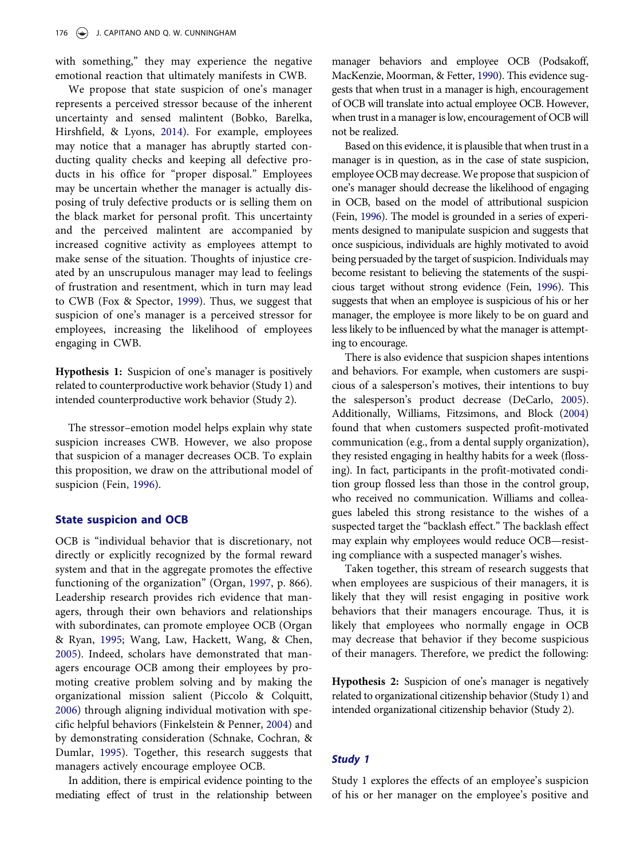with something," they may experience the negative emotional reaction that ultimately manifests in CWB.

We propose that state suspicion of one's manager represents a perceived stressor because of the inherent uncertainty and sensed malintent (Bobko, Barelka, Hirshfield, & Lyons, [2014](#page-10-6)). For example, employees may notice that a manager has abruptly started conducting quality checks and keeping all defective products in his office for "proper disposal." Employees may be uncertain whether the manager is actually disposing of truly defective products or is selling them on the black market for personal profit. This uncertainty and the perceived malintent are accompanied by increased cognitive activity as employees attempt to make sense of the situation. Thoughts of injustice created by an unscrupulous manager may lead to feelings of frustration and resentment, which in turn may lead to CWB (Fox & Spector, [1999\)](#page-10-12). Thus, we suggest that suspicion of one's manager is a perceived stressor for employees, increasing the likelihood of employees engaging in CWB.

<span id="page-3-2"></span>Hypothesis 1: Suspicion of one's manager is positively related to counterproductive work behavior (Study 1) and intended counterproductive work behavior (Study 2).

The stressor–emotion model helps explain why state suspicion increases CWB. However, we also propose that suspicion of a manager decreases OCB. To explain this proposition, we draw on the attributional model of suspicion (Fein, [1996\)](#page-10-5).

# State suspicion and OCB

<span id="page-3-3"></span>OCB is "individual behavior that is discretionary, not directly or explicitly recognized by the formal reward system and that in the aggregate promotes the effective functioning of the organization" (Organ, [1997,](#page-11-7) p. 866). Leadership research provides rich evidence that managers, through their own behaviors and relationships with subordinates, can promote employee OCB (Organ & Ryan, [1995](#page-11-17); Wang, Law, Hackett, Wang, & Chen, [2005](#page-11-18)). Indeed, scholars have demonstrated that managers encourage OCB among their employees by promoting creative problem solving and by making the organizational mission salient (Piccolo & Colquitt, [2006](#page-11-19)) through aligning individual motivation with specific helpful behaviors (Finkelstein & Penner, [2004\)](#page-10-13) and by demonstrating consideration (Schnake, Cochran, & Dumlar, [1995](#page-11-20)). Together, this research suggests that managers actively encourage employee OCB.

<span id="page-3-6"></span><span id="page-3-4"></span><span id="page-3-1"></span>In addition, there is empirical evidence pointing to the mediating effect of trust in the relationship between

<span id="page-3-5"></span>manager behaviors and employee OCB (Podsakoff, MacKenzie, Moorman, & Fetter, [1990](#page-11-21)). This evidence suggests that when trust in a manager is high, encouragement of OCB will translate into actual employee OCB. However, when trust in a manager is low, encouragement of OCB will not be realized.

Based on this evidence, it is plausible that when trust in a manager is in question, as in the case of state suspicion, employee OCB may decrease. We propose that suspicion of one's manager should decrease the likelihood of engaging in OCB, based on the model of attributional suspicion (Fein, [1996\)](#page-10-5). The model is grounded in a series of experiments designed to manipulate suspicion and suggests that once suspicious, individuals are highly motivated to avoid being persuaded by the target of suspicion. Individuals may become resistant to believing the statements of the suspicious target without strong evidence (Fein, [1996](#page-10-5)). This suggests that when an employee is suspicious of his or her manager, the employee is more likely to be on guard and less likely to be influenced by what the manager is attempting to encourage.

<span id="page-3-7"></span><span id="page-3-0"></span>There is also evidence that suspicion shapes intentions and behaviors. For example, when customers are suspicious of a salesperson's motives, their intentions to buy the salesperson's product decrease (DeCarlo, [2005](#page-10-14)). Additionally, Williams, Fitzsimons, and Block ([2004](#page-12-2)) found that when customers suspected profit-motivated communication (e.g., from a dental supply organization), they resisted engaging in healthy habits for a week (flossing). In fact, participants in the profit-motivated condition group flossed less than those in the control group, who received no communication. Williams and colleagues labeled this strong resistance to the wishes of a suspected target the "backlash effect." The backlash effect may explain why employees would reduce OCB—resisting compliance with a suspected manager's wishes.

Taken together, this stream of research suggests that when employees are suspicious of their managers, it is likely that they will resist engaging in positive work behaviors that their managers encourage. Thus, it is likely that employees who normally engage in OCB may decrease that behavior if they become suspicious of their managers. Therefore, we predict the following:

Hypothesis 2: Suspicion of one's manager is negatively related to organizational citizenship behavior (Study 1) and intended organizational citizenship behavior (Study 2).

# Study 1

Study 1 explores the effects of an employee's suspicion of his or her manager on the employee's positive and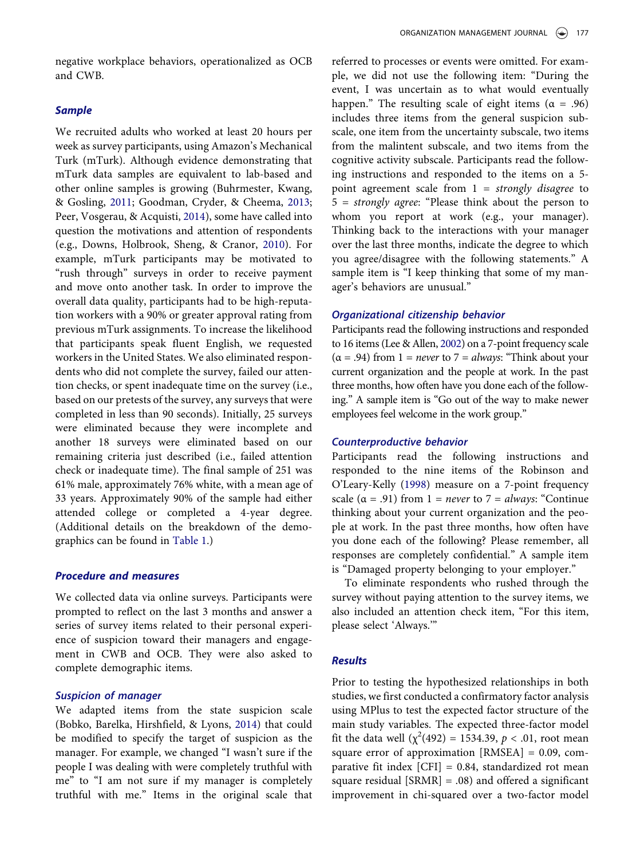negative workplace behaviors, operationalized as OCB and CWB.

#### **Sample**

<span id="page-4-2"></span><span id="page-4-1"></span><span id="page-4-0"></span>We recruited adults who worked at least 20 hours per week as survey participants, using Amazon's Mechanical Turk (mTurk). Although evidence demonstrating that mTurk data samples are equivalent to lab-based and other online samples is growing (Buhrmester, Kwang, & Gosling, [2011;](#page-10-15) Goodman, Cryder, & Cheema, [2013;](#page-11-22) Peer, Vosgerau, & Acquisti, [2014](#page-11-23)), some have called into question the motivations and attention of respondents (e.g., Downs, Holbrook, Sheng, & Cranor, [2010\)](#page-10-16). For example, mTurk participants may be motivated to "rush through" surveys in order to receive payment and move onto another task. In order to improve the overall data quality, participants had to be high-reputation workers with a 90% or greater approval rating from previous mTurk assignments. To increase the likelihood that participants speak fluent English, we requested workers in the United States. We also eliminated respondents who did not complete the survey, failed our attention checks, or spent inadequate time on the survey (i.e., based on our pretests of the survey, any surveys that were completed in less than 90 seconds). Initially, 25 surveys were eliminated because they were incomplete and another 18 surveys were eliminated based on our remaining criteria just described (i.e., failed attention check or inadequate time). The final sample of 251 was 61% male, approximately 76% white, with a mean age of 33 years. Approximately 90% of the sample had either attended college or completed a 4-year degree. (Additional details on the breakdown of the demographics can be found in [Table 1.](#page-5-0))

#### Procedure and measures

We collected data via online surveys. Participants were prompted to reflect on the last 3 months and answer a series of survey items related to their personal experience of suspicion toward their managers and engagement in CWB and OCB. They were also asked to complete demographic items.

#### Suspicion of manager

We adapted items from the state suspicion scale (Bobko, Barelka, Hirshfield, & Lyons, [2014](#page-10-4)) that could be modified to specify the target of suspicion as the manager. For example, we changed "I wasn't sure if the people I was dealing with were completely truthful with me" to "I am not sure if my manager is completely truthful with me." Items in the original scale that referred to processes or events were omitted. For example, we did not use the following item: "During the event, I was uncertain as to what would eventually happen." The resulting scale of eight items ( $\alpha = .96$ ) includes three items from the general suspicion subscale, one item from the uncertainty subscale, two items from the malintent subscale, and two items from the cognitive activity subscale. Participants read the following instructions and responded to the items on a 5 point agreement scale from  $1 =$  strongly disagree to 5 = strongly agree: "Please think about the person to whom you report at work (e.g., your manager). Thinking back to the interactions with your manager over the last three months, indicate the degree to which you agree/disagree with the following statements." A sample item is "I keep thinking that some of my manager's behaviors are unusual."

# Organizational citizenship behavior

Participants read the following instructions and responded to 16 items (Lee & Allen, [2002](#page-11-16)) on a 7-point frequency scale  $(\alpha = .94)$  from 1 = *never* to 7 = *always*: "Think about your current organization and the people at work. In the past three months, how often have you done each of the following." A sample item is "Go out of the way to make newer employees feel welcome in the work group."

#### Counterproductive behavior

<span id="page-4-3"></span>Participants read the following instructions and responded to the nine items of the Robinson and O'Leary-Kelly ([1998](#page-11-24)) measure on a 7-point frequency scale ( $\alpha$  = .91) from 1 = *never* to 7 = *always*: "Continue thinking about your current organization and the people at work. In the past three months, how often have you done each of the following? Please remember, all responses are completely confidential." A sample item is "Damaged property belonging to your employer."

To eliminate respondents who rushed through the survey without paying attention to the survey items, we also included an attention check item, "For this item, please select 'Always.'"

#### **Results**

Prior to testing the hypothesized relationships in both studies, we first conducted a confirmatory factor analysis using MPlus to test the expected factor structure of the main study variables. The expected three-factor model fit the data well  $(\chi^2(492) = 1534.39, p < .01,$  root mean square error of approximation [RMSEA] = 0.09, comparative fit index  $[CFI] = 0.84$ , standardized rot mean square residual [SRMR] = .08) and offered a significant improvement in chi-squared over a two-factor model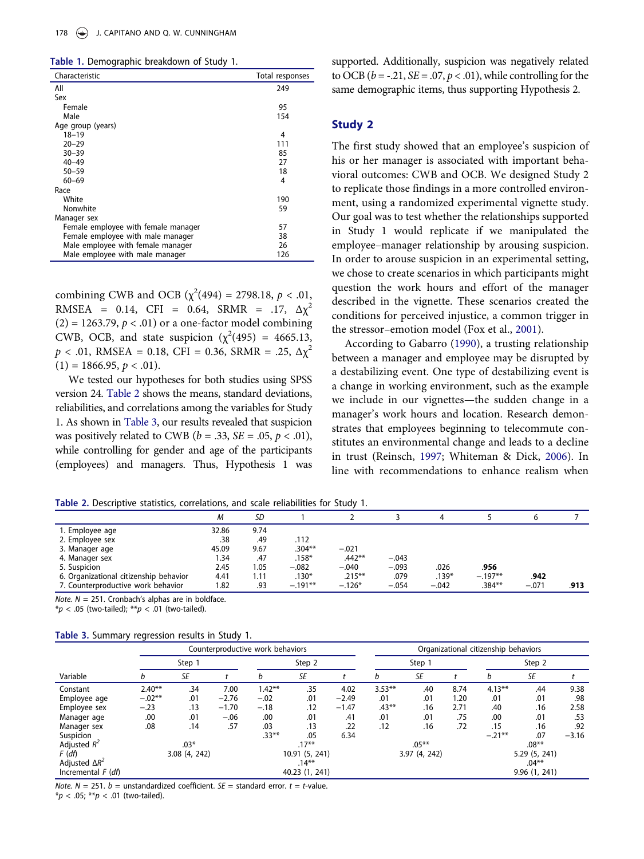<span id="page-5-0"></span>Table 1. Demographic breakdown of Study 1.

| - 11                                |                 |
|-------------------------------------|-----------------|
| Characteristic                      | Total responses |
| All                                 | 249             |
| Sex                                 |                 |
| Female                              | 95              |
| Male                                | 154             |
| Age group (years)                   |                 |
| 18–19                               | 4               |
| $20 - 29$                           | 111             |
| $30 - 39$                           | 85              |
| $40 - 49$                           | 27              |
| $50 - 59$                           | 18              |
| $60 - 69$                           | 4               |
| Race                                |                 |
| White                               | 190             |
| Nonwhite                            | 59              |
| Manager sex                         |                 |
| Female employee with female manager | 57              |
| Female employee with male manager   | 38              |
| Male employee with female manager   | 26              |
| Male employee with male manager     | 126             |

combining CWB and OCB ( $\chi^2(494) = 2798.18, p < .01$ , RMSEA = 0.14, CFI = 0.64, SRMR = .17,  $\Delta \chi^2$  $(2) = 1263.79$ ,  $p < .01$ ) or a one-factor model combining CWB, OCB, and state suspicion  $(\chi^2(495) = 4665.13,$  $p < .01$ , RMSEA = 0.18, CFI = 0.36, SRMR = .25,  $\Delta \chi^2$  $(1) = 1866.95, p < .01$ ).

We tested our hypotheses for both studies using SPSS version 24. [Table 2](#page-5-1) shows the means, standard deviations, reliabilities, and correlations among the variables for Study 1. As shown in [Table 3,](#page-5-2) our results revealed that suspicion was positively related to CWB ( $b = .33$ ,  $SE = .05$ ,  $p < .01$ ), while controlling for gender and age of the participants (employees) and managers. Thus, Hypothesis 1 was

supported. Additionally, suspicion was negatively related to OCB ( $b = -0.21$ ,  $SE = 0.07$ ,  $p < 0.01$ ), while controlling for the same demographic items, thus supporting Hypothesis 2.

### Study 2

The first study showed that an employee's suspicion of his or her manager is associated with important behavioral outcomes: CWB and OCB. We designed Study 2 to replicate those findings in a more controlled environment, using a randomized experimental vignette study. Our goal was to test whether the relationships supported in Study 1 would replicate if we manipulated the employee–manager relationship by arousing suspicion. In order to arouse suspicion in an experimental setting, we chose to create scenarios in which participants might question the work hours and effort of the manager described in the vignette. These scenarios created the conditions for perceived injustice, a common trigger in the stressor–emotion model (Fox et al., [2001\)](#page-10-7).

<span id="page-5-4"></span><span id="page-5-3"></span>According to Gabarro [\(1990](#page-10-17)), a trusting relationship between a manager and employee may be disrupted by a destabilizing event. One type of destabilizing event is a change in working environment, such as the example we include in our vignettes—the sudden change in a manager's work hours and location. Research demonstrates that employees beginning to telecommute constitutes an environmental change and leads to a decline in trust (Reinsch, [1997](#page-11-25); Whiteman & Dick, [2006](#page-12-3)). In line with recommendations to enhance realism when

<span id="page-5-1"></span>Table 2. Descriptive statistics, correlations, and scale reliabilities for Study 1.

| <b>TWATE ET DESCRIPTIVE STATISTICS</b> CONCIDIUS AND SCALE TEMADIMATES TOP STAMS IT. |       |      |           |           |         |         |           |         |      |
|--------------------------------------------------------------------------------------|-------|------|-----------|-----------|---------|---------|-----------|---------|------|
|                                                                                      | М     | SD   |           |           |         |         |           |         |      |
| 1. Employee age                                                                      | 32.86 | 9.74 |           |           |         |         |           |         |      |
| 2. Employee sex                                                                      | .38   | .49  | .112      |           |         |         |           |         |      |
| 3. Manager age                                                                       | 45.09 | 9.67 | $.304***$ | $-.021$   |         |         |           |         |      |
| 4. Manager sex                                                                       | 1.34  | .47  | $.158*$   | $.442***$ | $-.043$ |         |           |         |      |
| 5. Suspicion                                                                         | 2.45  | 1.05 | $-.082$   | $-.040$   | $-.093$ | .026    | .956      |         |      |
| 6. Organizational citizenship behavior                                               | 4.41  | 1.11 | $.130*$   | $.215***$ | .079    | $.139*$ | $-.197**$ | .942    |      |
| 7. Counterproductive work behavior                                                   | 1.82  | .93  | $-.191**$ | $-.126*$  | $-.054$ | $-.042$ | $.384**$  | $-.071$ | .913 |

Note.  $N = 251$ . Cronbach's alphas are in boldface.

 $* p < .05$  (two-tailed);  $* p < .01$  (two-tailed).

<span id="page-5-2"></span>

|  |  |  | Table 3. Summary regression results in Study 1. |  |  |  |  |
|--|--|--|-------------------------------------------------|--|--|--|--|
|--|--|--|-------------------------------------------------|--|--|--|--|

|                               | Counterproductive work behaviors |                                |         |           |                      |              | Organizational citizenship behaviors |           |               |           |               |         |
|-------------------------------|----------------------------------|--------------------------------|---------|-----------|----------------------|--------------|--------------------------------------|-----------|---------------|-----------|---------------|---------|
|                               |                                  | Step 2<br>Step 1               |         |           |                      | Step 1       |                                      |           | Step 2        |           |               |         |
| Variable                      | h                                | SE                             |         | h         | <b>SE</b>            |              | n                                    | <b>SE</b> |               |           | <b>SE</b>     |         |
| Constant                      | $2.40**$                         | .34                            | 7.00    | $1.42***$ | .35                  | 4.02         | $3.53**$                             | .40       | 8.74          | $4.13***$ | .44           | 9.38    |
| Employee age                  | $-.02**$                         | .01                            | $-2.76$ | $-.02$    | .01                  | $-2.49$      | .01                                  | .01       | 1.20          | .01       | .01           | .98     |
| Employee sex                  | $-.23$                           | .13                            | $-1.70$ | $-.18$    | .12                  | $-1.47$      | $.43***$                             | .16       | 2.71          | .40       | .16           | 2.58    |
| Manager age                   | .00                              | .01                            | $-.06$  | .00       | .01                  | .41          | .01                                  | .01       | .75           | .00       | .01           | .53     |
| Manager sex                   | .08                              | .14                            | .57     | .03       | .13                  | .22          | .12                                  | .16       | .72           | .15       | .16           | .92     |
| Suspicion                     |                                  |                                |         | $.33***$  | .05                  | 6.34         |                                      |           |               | $-.21***$ | .07           | $-3.16$ |
| Adjusted $R^2$                |                                  | $.03*$<br>$.17***$             |         |           | $.05***$<br>$.08***$ |              |                                      |           |               |           |               |         |
| F(df)                         |                                  | 3.08(4, 242)<br>10.91 (5, 241) |         |           |                      | 3.97(4, 242) |                                      |           | 5.29 (5, 241) |           |               |         |
| Adjusted $\Delta R^2$         |                                  | $.14***$                       |         |           |                      |              |                                      |           | $.04***$      |           |               |         |
| Incremental $F$ ( <i>df</i> ) |                                  |                                |         |           | 40.23 (1, 241)       |              |                                      |           |               |           | 9.96 (1, 241) |         |

Note.  $N = 251$ .  $b =$  unstandardized coefficient.  $SE =$  standard error.  $t =$  t-value.

 $**p* < .05; ***p* < .01$  (two-tailed).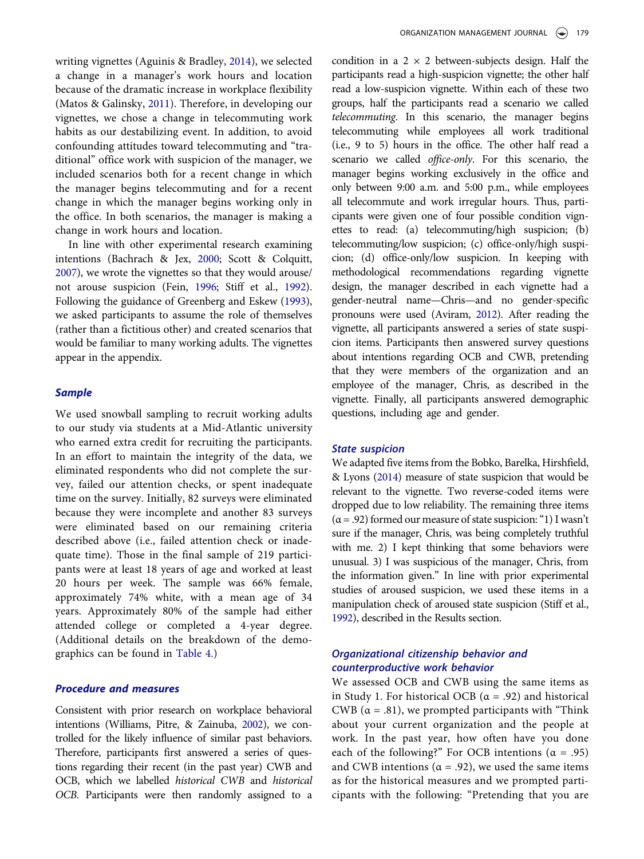<span id="page-6-4"></span><span id="page-6-0"></span>writing vignettes (Aguinis & Bradley, [2014\)](#page-10-18), we selected a change in a manager's work hours and location because of the dramatic increase in workplace flexibility (Matos & Galinsky, [2011\)](#page-11-26). Therefore, in developing our vignettes, we chose a change in telecommuting work habits as our destabilizing event. In addition, to avoid confounding attitudes toward telecommuting and "traditional" office work with suspicion of the manager, we included scenarios both for a recent change in which the manager begins telecommuting and for a recent change in which the manager begins working only in the office. In both scenarios, the manager is making a change in work hours and location.

<span id="page-6-3"></span><span id="page-6-2"></span>In line with other experimental research examining intentions (Bachrach & Jex, [2000](#page-10-19); Scott & Colquitt, [2007\)](#page-11-27), we wrote the vignettes so that they would arouse/ not arouse suspicion (Fein, [1996;](#page-10-5) Stiff et al., [1992](#page-11-8)). Following the guidance of Greenberg and Eskew [\(1993](#page-11-28)), we asked participants to assume the role of themselves (rather than a fictitious other) and created scenarios that would be familiar to many working adults. The vignettes appear in the appendix.

# **Sample**

We used snowball sampling to recruit working adults to our study via students at a Mid-Atlantic university who earned extra credit for recruiting the participants. In an effort to maintain the integrity of the data, we eliminated respondents who did not complete the survey, failed our attention checks, or spent inadequate time on the survey. Initially, 82 surveys were eliminated because they were incomplete and another 83 surveys were eliminated based on our remaining criteria described above (i.e., failed attention check or inadequate time). Those in the final sample of 219 participants were at least 18 years of age and worked at least 20 hours per week. The sample was 66% female, approximately 74% white, with a mean age of 34 years. Approximately 80% of the sample had either attended college or completed a 4-year degree. (Additional details on the breakdown of the demographics can be found in [Table 4.](#page-7-0))

#### Procedure and measures

<span id="page-6-5"></span>Consistent with prior research on workplace behavioral intentions (Williams, Pitre, & Zainuba, [2002\)](#page-12-4), we controlled for the likely influence of similar past behaviors. Therefore, participants first answered a series of questions regarding their recent (in the past year) CWB and OCB, which we labelled historical CWB and historical OCB. Participants were then randomly assigned to a

condition in a  $2 \times 2$  between-subjects design. Half the participants read a high-suspicion vignette; the other half read a low-suspicion vignette. Within each of these two groups, half the participants read a scenario we called telecommuting. In this scenario, the manager begins telecommuting while employees all work traditional (i.e., 9 to 5) hours in the office. The other half read a scenario we called *office-only*. For this scenario, the manager begins working exclusively in the office and only between 9:00 a.m. and 5:00 p.m., while employees all telecommute and work irregular hours. Thus, participants were given one of four possible condition vignettes to read: (a) telecommuting/high suspicion; (b) telecommuting/low suspicion; (c) office-only/high suspicion; (d) office-only/low suspicion. In keeping with methodological recommendations regarding vignette design, the manager described in each vignette had a gender-neutral name—Chris—and no gender-specific pronouns were used (Aviram, [2012](#page-10-20)). After reading the vignette, all participants answered a series of state suspicion items. Participants then answered survey questions about intentions regarding OCB and CWB, pretending that they were members of the organization and an employee of the manager, Chris, as described in the vignette. Finally, all participants answered demographic questions, including age and gender.

#### <span id="page-6-1"></span>State suspicion

We adapted five items from the Bobko, Barelka, Hirshfield, & Lyons ([2014](#page-10-4)) measure of state suspicion that would be relevant to the vignette. Two reverse-coded items were dropped due to low reliability. The remaining three items  $(\alpha = .92)$  formed our measure of state suspicion: "1) I wasn't sure if the manager, Chris, was being completely truthful with me. 2) I kept thinking that some behaviors were unusual. 3) I was suspicious of the manager, Chris, from the information given." In line with prior experimental studies of aroused suspicion, we used these items in a manipulation check of aroused state suspicion (Stiff et al., [1992](#page-11-8)), described in the Results section.

# Organizational citizenship behavior and counterproductive work behavior

We assessed OCB and CWB using the same items as in Study 1. For historical OCB ( $\alpha$  = .92) and historical CWB ( $\alpha$  = .81), we prompted participants with "Think" about your current organization and the people at work. In the past year, how often have you done each of the following?" For OCB intentions ( $\alpha = .95$ ) and CWB intentions ( $\alpha$  = .92), we used the same items as for the historical measures and we prompted participants with the following: "Pretending that you are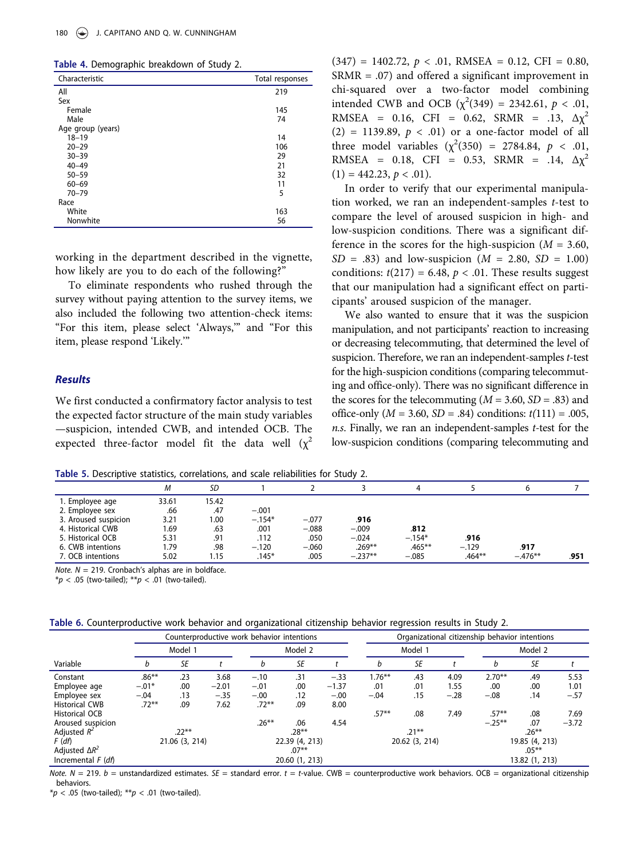<span id="page-7-0"></span>Table 4. Demographic breakdown of Study 2.

| ້                 |                 |
|-------------------|-----------------|
| Characteristic    | Total responses |
| All               | 219             |
| Sex               |                 |
| Female            | 145             |
| Male              | 74              |
| Age group (years) |                 |
| $18 - 19$         | 14              |
| $20 - 29$         | 106             |
| $30 - 39$         | 29              |
| $40 - 49$         | 21              |
| $50 - 59$         | 32              |
| $60 - 69$         | 11              |
| $70 - 79$         | 5               |
| Race              |                 |
| White             | 163             |
| Nonwhite          | 56              |
|                   |                 |

working in the department described in the vignette, how likely are you to do each of the following?"

To eliminate respondents who rushed through the survey without paying attention to the survey items, we also included the following two attention-check items: "For this item, please select 'Always,'" and "For this item, please respond 'Likely.'"

#### Results

We first conducted a confirmatory factor analysis to test the expected factor structure of the main study variables —suspicion, intended CWB, and intended OCB. The expected three-factor model fit the data well  $(\chi^2)$ 

 $(347) = 1402.72$ ,  $p < .01$ , RMSEA = 0.12, CFI = 0.80, SRMR = .07) and offered a significant improvement in chi-squared over a two-factor model combining intended CWB and OCB  $(\chi^2(349) = 2342.61, p < .01,$ RMSEA = 0.16, CFI = 0.62, SRMR = .13,  $\Delta \chi^2$  $(2) = 1139.89, p < .01$  or a one-factor model of all three model variables  $(\chi^2(350) = 2784.84, p < .01,$ RMSEA = 0.18, CFI = 0.53, SRMR = .14,  $\Delta \chi^2$  $(1) = 442.23, p < .01$ ).

In order to verify that our experimental manipulation worked, we ran an independent-samples  $t$ -test to compare the level of aroused suspicion in high- and low-suspicion conditions. There was a significant difference in the scores for the high-suspicion ( $M = 3.60$ ,  $SD = .83$ ) and low-suspicion ( $M = 2.80$ ,  $SD = 1.00$ ) conditions:  $t(217) = 6.48$ ,  $p < .01$ . These results suggest that our manipulation had a significant effect on participants' aroused suspicion of the manager.

We also wanted to ensure that it was the suspicion manipulation, and not participants' reaction to increasing or decreasing telecommuting, that determined the level of suspicion. Therefore, we ran an independent-samples t-test for the high-suspicion conditions (comparing telecommuting and office-only). There was no significant difference in the scores for the telecommuting  $(M = 3.60, SD = .83)$  and office-only ( $M = 3.60$ ,  $SD = .84$ ) conditions:  $t(111) = .005$ , n.s. Finally, we ran an independent-samples t-test for the low-suspicion conditions (comparing telecommuting and

<span id="page-7-1"></span>Table 5. Descriptive statistics, correlations, and scale reliabilities for Study 2.

|                      | М     | SD    |          |         |           |           |          |           |      |
|----------------------|-------|-------|----------|---------|-----------|-----------|----------|-----------|------|
| 1. Employee age      | 33.61 | 15.42 |          |         |           |           |          |           |      |
| 2. Employee sex      | .66   | .47   | $-.001$  |         |           |           |          |           |      |
| 3. Aroused suspicion | 3.21  | 1.00  | $-.154*$ | $-.077$ | .916      |           |          |           |      |
| 4. Historical CWB    | 1.69  | .63   | .001     | $-.088$ | $-.009$   | .812      |          |           |      |
| 5. Historical OCB    | 5.31  | .91   | .112     | .050    | $-.024$   | $-.154*$  | .916     |           |      |
| 6. CWB intentions    | 79.،  | .98   | $-.120$  | $-.060$ | $.269**$  | $.465***$ | $-.129$  | .917      |      |
| 7. OCB intentions    | 5.02  | 1.15  | $.145*$  | .005    | $-.237**$ | $-.085$   | $.464**$ | $-.476**$ | .951 |
|                      |       |       |          |         |           |           |          |           |      |

Note.  $N = 219$ . Cronbach's alphas are in boldface.

 $* p < .05$  (two-tailed);  $* p < .01$  (two-tailed).

<span id="page-7-2"></span>

|  |  | Table 6. Counterproductive work behavior and organizational citizenship behavior regression results in Study 2. |  |  |  |  |  |  |
|--|--|-----------------------------------------------------------------------------------------------------------------|--|--|--|--|--|--|
|--|--|-----------------------------------------------------------------------------------------------------------------|--|--|--|--|--|--|

|                               | Counterproductive work behavior intentions |                |         |                |                | Organizational citizenship behavior intentions |                |         |        |                |                |         |  |
|-------------------------------|--------------------------------------------|----------------|---------|----------------|----------------|------------------------------------------------|----------------|---------|--------|----------------|----------------|---------|--|
|                               |                                            | Model 1        |         |                | Model 2        |                                                |                | Model 1 |        |                | Model 2        |         |  |
| Variable                      | b                                          | SE             |         | b              | <b>SE</b>      |                                                | b              | SE      |        | b              | SE             |         |  |
| Constant                      | $.86***$                                   | .23            | 3.68    | $-.10$         | .31            | $-.33$                                         | $1.76***$      | .43     | 4.09   | $2.70**$       | .49            | 5.53    |  |
| Employee age                  | $-.01*$                                    | .00            | $-2.01$ | $-.01$         | .00            | $-1.37$                                        | .01            | .01     | 1.55   | .00            | .00            | 1.01    |  |
| Employee sex                  | $-.04$                                     | .13            | $-.35$  | $-.00$         | .12            | $-.00$                                         | $-.04$         | .15     | $-.28$ | $-.08$         | .14            | $-.57$  |  |
| <b>Historical CWB</b>         | $.72***$                                   | .09            | 7.62    | $.72**$        | .09            | 8.00                                           |                |         |        |                |                |         |  |
| Historical OCB                |                                            |                |         |                |                |                                                | $.57***$       | .08     | 7.49   | $.57**$        | .08            | 7.69    |  |
| Aroused suspicion             |                                            |                |         | $.26***$       | .06            | 4.54                                           |                |         |        | $-.25***$      | .07            | $-3.72$ |  |
| Adjusted $R^2$                |                                            | $.22***$       |         | $.28**$        |                |                                                | $.21***$       |         |        | $.26***$       |                |         |  |
| F(df)                         |                                            | 21.06 (3, 214) |         | 22.39 (4, 213) |                |                                                | 20.62 (3, 214) |         |        | 19.85 (4, 213) |                |         |  |
| Adjusted $\Delta R^2$         |                                            |                | $.07**$ |                |                | $.05***$                                       |                |         |        |                |                |         |  |
| Incremental $F$ ( <i>df</i> ) |                                            |                |         |                | 20.60 (1, 213) |                                                |                |         |        |                | 13.82 (1, 213) |         |  |

Note.  $N = 219$ .  $b =$  unstandardized estimates.  $SE =$  standard error.  $t = t$ -value. CWB = counterproductive work behaviors. OCB = organizational citizenship behaviors.

 $* p < .05$  (two-tailed);  $* p < .01$  (two-tailed).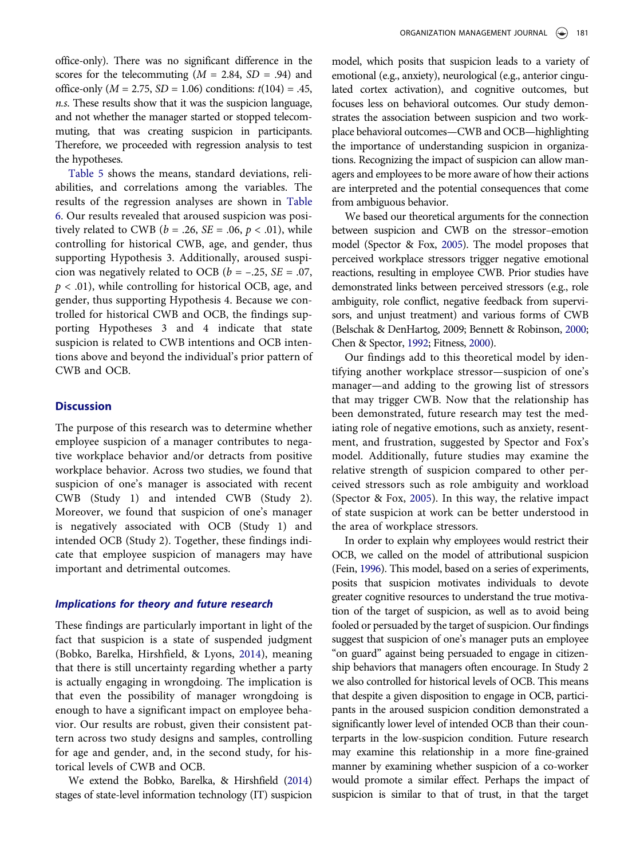office-only). There was no significant difference in the scores for the telecommuting  $(M = 2.84, SD = .94)$  and office-only ( $M = 2.75$ ,  $SD = 1.06$ ) conditions:  $t(104) = .45$ , n.s. These results show that it was the suspicion language, and not whether the manager started or stopped telecommuting, that was creating suspicion in participants. Therefore, we proceeded with regression analysis to test the hypotheses.

[Table 5](#page-7-1) shows the means, standard deviations, reliabilities, and correlations among the variables. The results of the regression analyses are shown in [Table](#page-7-2) [6](#page-7-2). Our results revealed that aroused suspicion was positively related to CWB ( $b = .26$ ,  $SE = .06$ ,  $p < .01$ ), while controlling for historical CWB, age, and gender, thus supporting Hypothesis 3. Additionally, aroused suspicion was negatively related to OCB ( $b = -.25$ ,  $SE = .07$ ,  $p < .01$ ), while controlling for historical OCB, age, and gender, thus supporting Hypothesis 4. Because we controlled for historical CWB and OCB, the findings supporting Hypotheses 3 and 4 indicate that state suspicion is related to CWB intentions and OCB intentions above and beyond the individual's prior pattern of CWB and OCB.

# **Discussion**

The purpose of this research was to determine whether employee suspicion of a manager contributes to negative workplace behavior and/or detracts from positive workplace behavior. Across two studies, we found that suspicion of one's manager is associated with recent CWB (Study 1) and intended CWB (Study 2). Moreover, we found that suspicion of one's manager is negatively associated with OCB (Study 1) and intended OCB (Study 2). Together, these findings indicate that employee suspicion of managers may have important and detrimental outcomes.

#### Implications for theory and future research

These findings are particularly important in light of the fact that suspicion is a state of suspended judgment (Bobko, Barelka, Hirshfield, & Lyons, [2014\)](#page-10-4), meaning that there is still uncertainty regarding whether a party is actually engaging in wrongdoing. The implication is that even the possibility of manager wrongdoing is enough to have a significant impact on employee behavior. Our results are robust, given their consistent pattern across two study designs and samples, controlling for age and gender, and, in the second study, for historical levels of CWB and OCB.

We extend the Bobko, Barelka, & Hirshfield [\(2014](#page-10-6)) stages of state-level information technology (IT) suspicion

model, which posits that suspicion leads to a variety of emotional (e.g., anxiety), neurological (e.g., anterior cingulated cortex activation), and cognitive outcomes, but focuses less on behavioral outcomes. Our study demonstrates the association between suspicion and two workplace behavioral outcomes—CWB and OCB—highlighting the importance of understanding suspicion in organizations. Recognizing the impact of suspicion can allow managers and employees to be more aware of how their actions are interpreted and the potential consequences that come from ambiguous behavior.

We based our theoretical arguments for the connection between suspicion and CWB on the stressor–emotion model (Spector & Fox, [2005\)](#page-11-9). The model proposes that perceived workplace stressors trigger negative emotional reactions, resulting in employee CWB. Prior studies have demonstrated links between perceived stressors (e.g., role ambiguity, role conflict, negative feedback from supervisors, and unjust treatment) and various forms of CWB (Belschak & DenHartog, 2009; Bennett & Robinson, [2000;](#page-10-9) Chen & Spector, [1992;](#page-10-10) Fitness, [2000\)](#page-10-11).

Our findings add to this theoretical model by identifying another workplace stressor—suspicion of one's manager—and adding to the growing list of stressors that may trigger CWB. Now that the relationship has been demonstrated, future research may test the mediating role of negative emotions, such as anxiety, resentment, and frustration, suggested by Spector and Fox's model. Additionally, future studies may examine the relative strength of suspicion compared to other perceived stressors such as role ambiguity and workload (Spector & Fox, [2005](#page-11-9)). In this way, the relative impact of state suspicion at work can be better understood in the area of workplace stressors.

In order to explain why employees would restrict their OCB, we called on the model of attributional suspicion (Fein, [1996](#page-10-5)). This model, based on a series of experiments, posits that suspicion motivates individuals to devote greater cognitive resources to understand the true motivation of the target of suspicion, as well as to avoid being fooled or persuaded by the target of suspicion. Our findings suggest that suspicion of one's manager puts an employee "on guard" against being persuaded to engage in citizenship behaviors that managers often encourage. In Study 2 we also controlled for historical levels of OCB. This means that despite a given disposition to engage in OCB, participants in the aroused suspicion condition demonstrated a significantly lower level of intended OCB than their counterparts in the low-suspicion condition. Future research may examine this relationship in a more fine-grained manner by examining whether suspicion of a co-worker would promote a similar effect. Perhaps the impact of suspicion is similar to that of trust, in that the target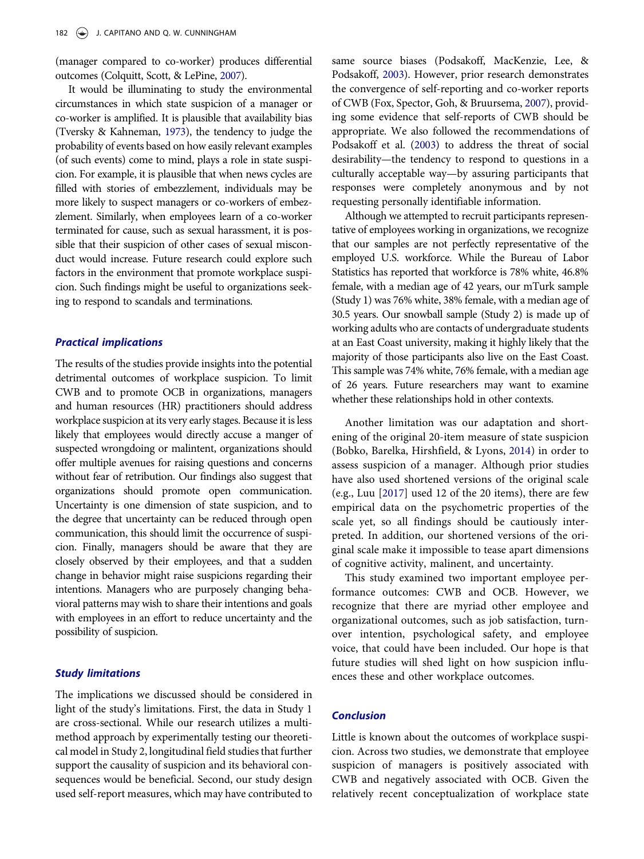<span id="page-9-0"></span>(manager compared to co-worker) produces differential outcomes (Colquitt, Scott, & LePine, [2007](#page-10-21)).

<span id="page-9-3"></span>It would be illuminating to study the environmental circumstances in which state suspicion of a manager or co-worker is amplified. It is plausible that availability bias (Tversky & Kahneman, [1973](#page-11-29)), the tendency to judge the probability of events based on how easily relevant examples (of such events) come to mind, plays a role in state suspicion. For example, it is plausible that when news cycles are filled with stories of embezzlement, individuals may be more likely to suspect managers or co-workers of embezzlement. Similarly, when employees learn of a co-worker terminated for cause, such as sexual harassment, it is possible that their suspicion of other cases of sexual misconduct would increase. Future research could explore such factors in the environment that promote workplace suspicion. Such findings might be useful to organizations seeking to respond to scandals and terminations.

#### Practical implications

The results of the studies provide insights into the potential detrimental outcomes of workplace suspicion. To limit CWB and to promote OCB in organizations, managers and human resources (HR) practitioners should address workplace suspicion at its very early stages. Because it is less likely that employees would directly accuse a manger of suspected wrongdoing or malintent, organizations should offer multiple avenues for raising questions and concerns without fear of retribution. Our findings also suggest that organizations should promote open communication. Uncertainty is one dimension of state suspicion, and to the degree that uncertainty can be reduced through open communication, this should limit the occurrence of suspicion. Finally, managers should be aware that they are closely observed by their employees, and that a sudden change in behavior might raise suspicions regarding their intentions. Managers who are purposely changing behavioral patterns may wish to share their intentions and goals with employees in an effort to reduce uncertainty and the possibility of suspicion.

#### Study limitations

The implications we discussed should be considered in light of the study's limitations. First, the data in Study 1 are cross-sectional. While our research utilizes a multimethod approach by experimentally testing our theoretical model in Study 2, longitudinal field studies that further support the causality of suspicion and its behavioral consequences would be beneficial. Second, our study design used self-report measures, which may have contributed to <span id="page-9-1"></span>same source biases (Podsakoff, MacKenzie, Lee, & Podsakoff, [2003\)](#page-11-30). However, prior research demonstrates the convergence of self-reporting and co-worker reports of CWB (Fox, Spector, Goh, & Bruursema, [2007\)](#page-10-22), providing some evidence that self-reports of CWB should be appropriate. We also followed the recommendations of Podsakoff et al. [\(2003\)](#page-11-30) to address the threat of social desirability—the tendency to respond to questions in a culturally acceptable way—by assuring participants that responses were completely anonymous and by not requesting personally identifiable information.

<span id="page-9-2"></span>Although we attempted to recruit participants representative of employees working in organizations, we recognize that our samples are not perfectly representative of the employed U.S. workforce. While the Bureau of Labor Statistics has reported that workforce is 78% white, 46.8% female, with a median age of 42 years, our mTurk sample (Study 1) was 76% white, 38% female, with a median age of 30.5 years. Our snowball sample (Study 2) is made up of working adults who are contacts of undergraduate students at an East Coast university, making it highly likely that the majority of those participants also live on the East Coast. This sample was 74% white, 76% female, with a median age of 26 years. Future researchers may want to examine whether these relationships hold in other contexts.

Another limitation was our adaptation and shortening of the original 20-item measure of state suspicion (Bobko, Barelka, Hirshfield, & Lyons, [2014\)](#page-10-4) in order to assess suspicion of a manager. Although prior studies have also used shortened versions of the original scale (e.g., Luu [[2017\]](#page-11-5) used 12 of the 20 items), there are few empirical data on the psychometric properties of the scale yet, so all findings should be cautiously interpreted. In addition, our shortened versions of the original scale make it impossible to tease apart dimensions of cognitive activity, malinent, and uncertainty.

This study examined two important employee performance outcomes: CWB and OCB. However, we recognize that there are myriad other employee and organizational outcomes, such as job satisfaction, turnover intention, psychological safety, and employee voice, that could have been included. Our hope is that future studies will shed light on how suspicion influences these and other workplace outcomes.

# Conclusion

Little is known about the outcomes of workplace suspicion. Across two studies, we demonstrate that employee suspicion of managers is positively associated with CWB and negatively associated with OCB. Given the relatively recent conceptualization of workplace state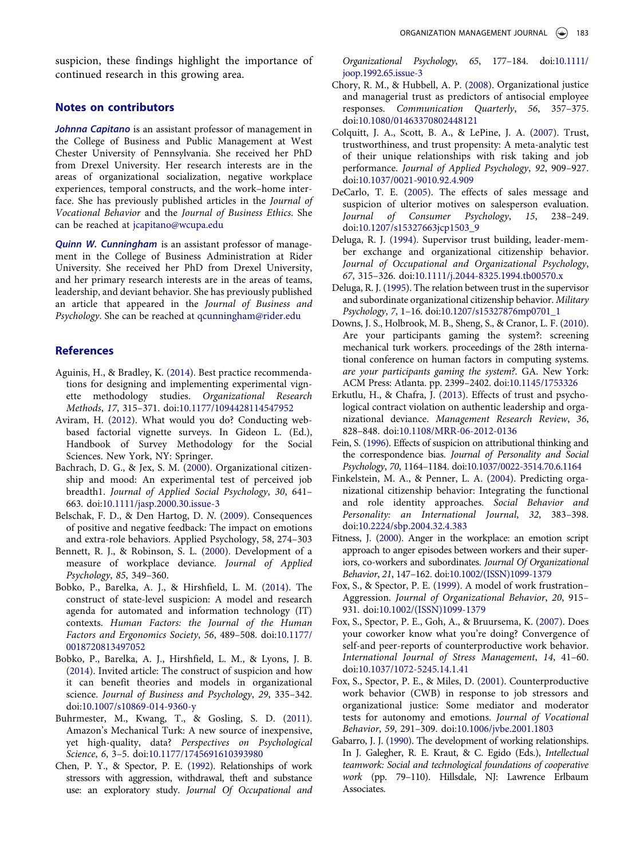suspicion, these findings highlight the importance of continued research in this growing area.

# Notes on contributors

Johnna Capitano is an assistant professor of management in the College of Business and Public Management at West Chester University of Pennsylvania. She received her PhD from Drexel University. Her research interests are in the areas of organizational socialization, negative workplace experiences, temporal constructs, and the work–home interface. She has previously published articles in the Journal of Vocational Behavior and the Journal of Business Ethics. She can be reached at jcapitano@wcupa.edu

Quinn W. Cunningham is an assistant professor of management in the College of Business Administration at Rider University. She received her PhD from Drexel University, and her primary research interests are in the areas of teams, leadership, and deviant behavior. She has previously published an article that appeared in the Journal of Business and Psychology. She can be reached at qcunningham@rider.edu

# **References**

- <span id="page-10-18"></span>Aguinis, H., & Bradley, K. ([2014](#page-6-0)). Best practice recommendations for designing and implementing experimental vignette methodology studies. Organizational Research Methods, 17, 315–371. doi:[10.1177/1094428114547952](https://doi.org/10.1177/1094428114547952)
- <span id="page-10-20"></span>Aviram, H. ([2012](#page-6-1)). What would you do? Conducting webbased factorial vignette surveys. In Gideon L. (Ed.), Handbook of Survey Methodology for the Social Sciences. New York, NY: Springer.
- <span id="page-10-19"></span>Bachrach, D. G., & Jex, S. M. [\(2000](#page-6-2)). Organizational citizenship and mood: An experimental test of perceived job breadth1. Journal of Applied Social Psychology, 30, 641– 663. doi:[10.1111/jasp.2000.30.issue-3](https://doi.org/10.1111/jasp.2000.30.issue-3)
- <span id="page-10-8"></span>Belschak, F. D., & Den Hartog, D. N. [\(2009\)](#page-2-0). Consequences of positive and negative feedback: The impact on emotions and extra-role behaviors. Applied Psychology, 58, 274–303
- <span id="page-10-9"></span>Bennett, R. J., & Robinson, S. L. [\(2000](#page-2-1)). Development of a measure of workplace deviance. Journal of Applied Psychology, 85, 349–360.
- <span id="page-10-6"></span>Bobko, P., Barelka, A. J., & Hirshfield, L. M. ([2014\)](#page-2-2). The construct of state-level suspicion: A model and research agenda for automated and information technology (IT) contexts. Human Factors: the Journal of the Human Factors and Ergonomics Society, 56, 489–508. doi:[10.1177/](https://doi.org/10.1177/0018720813497052) [0018720813497052](https://doi.org/10.1177/0018720813497052)
- <span id="page-10-4"></span>Bobko, P., Barelka, A. J., Hirshfield, L. M., & Lyons, J. B. [\(2014\)](#page-1-1). Invited article: The construct of suspicion and how it can benefit theories and models in organizational science. Journal of Business and Psychology, 29, 335–342. doi:[10.1007/s10869-014-9360-y](https://doi.org/10.1007/s10869-014-9360-y)
- <span id="page-10-15"></span>Buhrmester, M., Kwang, T., & Gosling, S. D. [\(2011\)](#page-4-0). Amazon's Mechanical Turk: A new source of inexpensive, yet high-quality, data? Perspectives on Psychological Science, 6, 3–5. doi:[10.1177/1745691610393980](https://doi.org/10.1177/1745691610393980)
- <span id="page-10-10"></span>Chen, P. Y., & Spector, P. E. [\(1992](#page-2-1)). Relationships of work stressors with aggression, withdrawal, theft and substance use: an exploratory study. Journal Of Occupational and

Organizational Psychology, 65, 177–184. doi:[10.1111/](https://doi.org/10.1111/joop.1992.65.issue-3) [joop.1992.65.issue-3](https://doi.org/10.1111/joop.1992.65.issue-3)

- <span id="page-10-2"></span>Chory, R. M., & Hubbell, A. P. [\(2008](#page-1-2)). Organizational justice and managerial trust as predictors of antisocial employee responses. Communication Quarterly, 56, 357–375. doi:[10.1080/01463370802448121](https://doi.org/10.1080/01463370802448121)
- <span id="page-10-21"></span>Colquitt, J. A., Scott, B. A., & LePine, J. A. ([2007](#page-9-0)). Trust, trustworthiness, and trust propensity: A meta-analytic test of their unique relationships with risk taking and job performance. Journal of Applied Psychology, 92, 909–927. doi:[10.1037/0021-9010.92.4.909](https://doi.org/10.1037/0021-9010.92.4.909)
- <span id="page-10-14"></span>DeCarlo, T. E. ([2005](#page-3-0)). The effects of sales message and suspicion of ulterior motives on salesperson evaluation. Journal of Consumer Psychology, 15, 238–249. doi:[10.1207/s15327663jcp1503\\_9](https://doi.org/10.1207/s15327663jcp1503_9)
- <span id="page-10-0"></span>Deluga, R. J. ([1994\)](#page-1-3). Supervisor trust building, leader-member exchange and organizational citizenship behavior. Journal of Occupational and Organizational Psychology, 67, 315–326. doi:[10.1111/j.2044-8325.1994.tb00570.x](https://doi.org/10.1111/j.2044-8325.1994.tb00570.x)
- <span id="page-10-1"></span>Deluga, R. J. [\(1995](#page-1-4)). The relation between trust in the supervisor and subordinate organizational citizenship behavior. Military Psychology, 7, 1–16. doi:[10.1207/s15327876mp0701\\_1](https://doi.org/10.1207/s15327876mp0701_1)
- <span id="page-10-16"></span>Downs, J. S., Holbrook, M. B., Sheng, S., & Cranor, L. F. ([2010\)](#page-4-1). Are your participants gaming the system?: screening mechanical turk workers. proceedings of the 28th international conference on human factors in computing systems. are your participants gaming the system?. GA. New York: ACM Press: Atlanta. pp. 2399–2402. doi:[10.1145/1753326](https://doi.org/10.1145/1753326)
- <span id="page-10-3"></span>Erkutlu, H., & Chafra, J. [\(2013](#page-1-5)). Effects of trust and psychological contract violation on authentic leadership and organizational deviance. Management Research Review, 36, 828–848. doi:[10.1108/MRR-06-2012-0136](https://doi.org/10.1108/MRR-06-2012-0136)
- <span id="page-10-5"></span>Fein, S. [\(1996\)](#page-2-3). Effects of suspicion on attributional thinking and the correspondence bias. Journal of Personality and Social Psychology, 70, 1164–1184. doi:[10.1037/0022-3514.70.6.1164](https://doi.org/10.1037/0022-3514.70.6.1164)
- <span id="page-10-13"></span>Finkelstein, M. A., & Penner, L. A. [\(2004](#page-3-1)). Predicting organizational citizenship behavior: Integrating the functional and role identity approaches. Social Behavior and Personality: an International Journal, 32, 383–398. doi:[10.2224/sbp.2004.32.4.383](https://doi.org/10.2224/sbp.2004.32.4.383)
- <span id="page-10-11"></span>Fitness, J. ([2000](#page-2-4)). Anger in the workplace: an emotion script approach to anger episodes between workers and their superiors, co-workers and subordinates. Journal Of Organizational Behavior, 21, 147–162. doi:[10.1002/\(ISSN\)1099-1379](https://doi.org/10.1002/(ISSN)1099-1379)
- <span id="page-10-12"></span>Fox, S., & Spector, P. E. ([1999\)](#page-3-2). A model of work frustration– Aggression. Journal of Organizational Behavior, 20, 915– 931. doi:[10.1002/\(ISSN\)1099-1379](https://doi.org/10.1002/(ISSN)1099-1379)
- <span id="page-10-22"></span>Fox, S., Spector, P. E., Goh, A., & Bruursema, K. [\(2007\)](#page-9-1). Does your coworker know what you're doing? Convergence of self-and peer-reports of counterproductive work behavior. International Journal of Stress Management, 14, 41–60. doi:[10.1037/1072-5245.14.1.41](https://doi.org/10.1037/1072-5245.14.1.41)
- <span id="page-10-7"></span>Fox, S., Spector, P. E., & Miles, D. [\(2001\)](#page-2-5). Counterproductive work behavior (CWB) in response to job stressors and organizational justice: Some mediator and moderator tests for autonomy and emotions. Journal of Vocational Behavior, 59, 291–309. doi:[10.1006/jvbe.2001.1803](https://doi.org/10.1006/jvbe.2001.1803)
- <span id="page-10-17"></span>Gabarro, J. J. [\(1990\)](#page-5-3). The development of working relationships. In J. Galegher, R. E. Kraut, & C. Egido (Eds.), Intellectual teamwork: Social and technological foundations of cooperative work (pp. 79–110). Hillsdale, NJ: Lawrence Erlbaum Associates.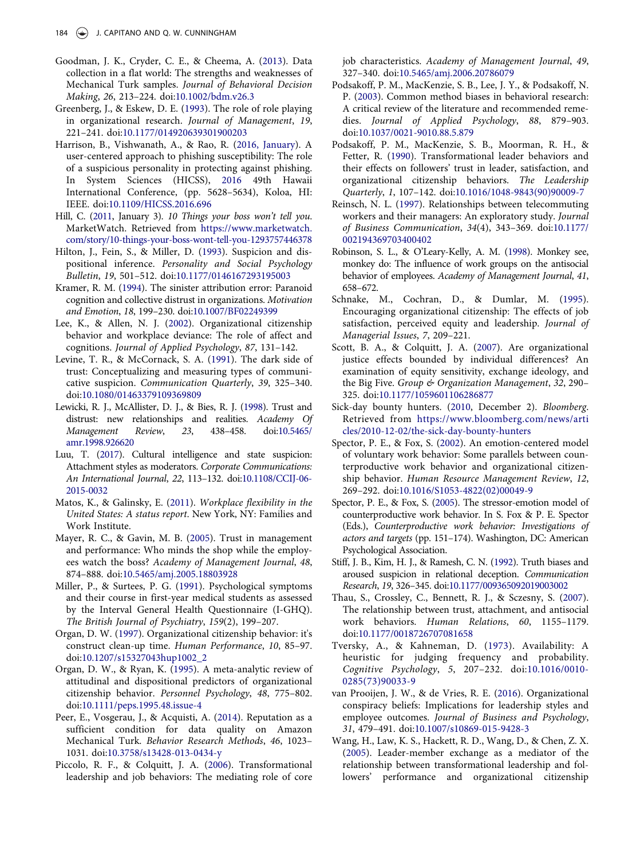- <span id="page-11-22"></span>Goodman, J. K., Cryder, C. E., & Cheema, A. [\(2013](#page-4-0)). Data collection in a flat world: The strengths and weaknesses of Mechanical Turk samples. Journal of Behavioral Decision Making, 26, 213–224. doi:[10.1002/bdm.v26.3](https://doi.org/10.1002/bdm.v26.3)
- <span id="page-11-28"></span>Greenberg, J., & Eskew, D. E. [\(1993\)](#page-6-3). The role of role playing in organizational research. Journal of Management, 19, 221–241. doi:[10.1177/014920639301900203](https://doi.org/10.1177/014920639301900203)
- <span id="page-11-12"></span>Harrison, B., Vishwanath, A., & Rao, R. [\(2016, January](#page-2-6)). A user-centered approach to phishing susceptibility: The role of a suspicious personality in protecting against phishing. In System Sciences (HICSS), [2016](#page-2-6) 49th Hawaii International Conference, (pp. 5628–5634), Koloa, HI: IEEE. doi:[10.1109/HICSS.2016.696](https://doi.org/10.1109/HICSS.2016.696)
- <span id="page-11-4"></span>Hill, C. ([2011](#page-1-6), January 3). 10 Things your boss won't tell you. MarketWatch. Retrieved from [https://www.marketwatch.](https://www.marketwatch.com/story/10-things-your-boss-wont-tell-you-1293757446378) [com/story/10-things-your-boss-wont-tell-you-1293757446378](https://www.marketwatch.com/story/10-things-your-boss-wont-tell-you-1293757446378)
- <span id="page-11-2"></span>Hilton, J., Fein, S., & Miller, D. [\(1993\)](#page-1-7). Suspicion and dispositional inference. Personality and Social Psychology Bulletin, 19, 501–512. doi:[10.1177/0146167293195003](https://doi.org/10.1177/0146167293195003)
- <span id="page-11-14"></span>Kramer, R. M. ([1994](#page-2-7)). The sinister attribution error: Paranoid cognition and collective distrust in organizations. Motivation and Emotion, 18, 199–230. doi:[10.1007/BF02249399](https://doi.org/10.1007/BF02249399)
- <span id="page-11-16"></span>Lee, K., & Allen, N. J. [\(2002\)](#page-2-8). Organizational citizenship behavior and workplace deviance: The role of affect and cognitions. Journal of Applied Psychology, 87, 131–142.
- <span id="page-11-10"></span>Levine, T. R., & McCornack, S. A. ([1991](#page-2-9)). The dark side of trust: Conceptualizing and measuring types of communicative suspicion. Communication Quarterly, 39, 325–340. doi:[10.1080/01463379109369809](https://doi.org/10.1080/01463379109369809)
- <span id="page-11-13"></span>Lewicki, R. J., McAllister, D. J., & Bies, R. J. [\(1998](#page-2-10)). Trust and distrust: new relationships and realities. Academy Of Management Review, 23, 438–458. doi:[10.5465/](https://doi.org/10.5465/amr.1998.926620) [amr.1998.926620](https://doi.org/10.5465/amr.1998.926620)
- <span id="page-11-5"></span>Luu, T. [\(2017\)](#page-1-8). Cultural intelligence and state suspicion: Attachment styles as moderators. Corporate Communications: An International Journal, 22, 113–132. doi:[10.1108/CCIJ-06-](https://doi.org/10.1108/CCIJ-06-2015-0032) [2015-0032](https://doi.org/10.1108/CCIJ-06-2015-0032)
- <span id="page-11-26"></span>Matos, K., & Galinsky, E. ([2011](#page-6-4)). Workplace flexibility in the United States: A status report. New York, NY: Families and Work Institute.
- <span id="page-11-0"></span>Mayer, R. C., & Gavin, M. B. [\(2005](#page-1-4)). Trust in management and performance: Who minds the shop while the employees watch the boss? Academy of Management Journal, 48, 874–888. doi:[10.5465/amj.2005.18803928](https://doi.org/10.5465/amj.2005.18803928)
- <span id="page-11-11"></span>Miller, P., & Surtees, P. G. [\(1991](#page-2-11)). Psychological symptoms and their course in first-year medical students as assessed by the Interval General Health Questionnaire (I-GHQ). The British Journal of Psychiatry, 159(2), 199–207.
- <span id="page-11-7"></span>Organ, D. W. [\(1997\)](#page-1-9). Organizational citizenship behavior: it's construct clean-up time. Human Performance, 10, 85–97. doi:[10.1207/s15327043hup1002\\_2](https://doi.org/10.1207/s15327043hup1002_2)
- <span id="page-11-17"></span>Organ, D. W., & Ryan, K. [\(1995](#page-3-3)). A meta-analytic review of attitudinal and dispositional predictors of organizational citizenship behavior. Personnel Psychology, 48, 775–802. doi:[10.1111/peps.1995.48.issue-4](https://doi.org/10.1111/peps.1995.48.issue-4)
- <span id="page-11-23"></span>Peer, E., Vosgerau, J., & Acquisti, A. ([2014\)](#page-4-2). Reputation as a sufficient condition for data quality on Amazon Mechanical Turk. Behavior Research Methods, 46, 1023– 1031. doi:[10.3758/s13428-013-0434-y](https://doi.org/10.3758/s13428-013-0434-y)
- <span id="page-11-19"></span>Piccolo, R. F., & Colquitt, J. A. ([2006](#page-3-4)). Transformational leadership and job behaviors: The mediating role of core

job characteristics. Academy of Management Journal, 49, 327–340. doi:[10.5465/amj.2006.20786079](https://doi.org/10.5465/amj.2006.20786079)

- <span id="page-11-30"></span>Podsakoff, P. M., MacKenzie, S. B., Lee, J. Y., & Podsakoff, N. P. ([2003](#page-9-2)). Common method biases in behavioral research: A critical review of the literature and recommended remedies. Journal of Applied Psychology, 88, 879–903. doi:[10.1037/0021-9010.88.5.879](https://doi.org/10.1037/0021-9010.88.5.879)
- <span id="page-11-21"></span>Podsakoff, P. M., MacKenzie, S. B., Moorman, R. H., & Fetter, R. [\(1990\)](#page-3-5). Transformational leader behaviors and their effects on followers' trust in leader, satisfaction, and organizational citizenship behaviors. The Leadership Quarterly, 1, 107–142. doi:[10.1016/1048-9843\(90\)90009-7](https://doi.org/10.1016/1048-9843(90)90009-7)
- <span id="page-11-25"></span>Reinsch, N. L. [\(1997](#page-5-4)). Relationships between telecommuting workers and their managers: An exploratory study. Journal of Business Communication, 34(4), 343–369. doi:[10.1177/](https://doi.org/10.1177/002194369703400402) [002194369703400402](https://doi.org/10.1177/002194369703400402)
- <span id="page-11-24"></span>Robinson, S. L., & O'Leary-Kelly, A. M. ([1998\)](#page-4-3). Monkey see, monkey do: The influence of work groups on the antisocial behavior of employees. Academy of Management Journal, 41, 658–672.
- <span id="page-11-20"></span>Schnake, M., Cochran, D., & Dumlar, M. [\(1995\)](#page-3-6). Encouraging organizational citizenship: The effects of job satisfaction, perceived equity and leadership. Journal of Managerial Issues, 7, 209–221.
- <span id="page-11-27"></span>Scott, B. A., & Colquitt, J. A. ([2007](#page-6-2)). Are organizational justice effects bounded by individual differences? An examination of equity sensitivity, exchange ideology, and the Big Five. Group & Organization Management, 32, 290– 325. doi:[10.1177/1059601106286877](https://doi.org/10.1177/1059601106286877)
- <span id="page-11-3"></span>Sick-day bounty hunters. ([2010](#page-1-10), December 2). Bloomberg. Retrieved from [https://www.bloomberg.com/news/arti](https://www.bloomberg.com/news/articles/2010-12-02/the-sick-day-bounty-hunters) [cles/2010-12-02/the-sick-day-bounty-hunters](https://www.bloomberg.com/news/articles/2010-12-02/the-sick-day-bounty-hunters)
- <span id="page-11-6"></span>Spector, P. E., & Fox, S. ([2002](#page-1-11)). An emotion-centered model of voluntary work behavior: Some parallels between counterproductive work behavior and organizational citizenship behavior. Human Resource Management Review, 12, 269–292. doi:[10.1016/S1053-4822\(02\)00049-9](https://doi.org/10.1016/S1053-4822(02)00049-9)
- <span id="page-11-9"></span>Spector, P. E., & Fox, S. ([2005](#page-2-12)). The stressor-emotion model of counterproductive work behavior. In S. Fox & P. E. Spector (Eds.), Counterproductive work behavior: Investigations of actors and targets (pp. 151–174). Washington, DC: American Psychological Association.
- <span id="page-11-8"></span>Stiff, J. B., Kim, H. J., & Ramesh, C. N. ([1992](#page-1-12)). Truth biases and aroused suspicion in relational deception. Communication Research, 19, 326–345. doi:[10.1177/009365092019003002](https://doi.org/10.1177/009365092019003002)
- <span id="page-11-1"></span>Thau, S., Crossley, C., Bennett, R. J., & Sczesny, S. [\(2007\)](#page-1-5). The relationship between trust, attachment, and antisocial work behaviors. Human Relations, 60, 1155–1179. doi:[10.1177/0018726707081658](https://doi.org/10.1177/0018726707081658)
- <span id="page-11-29"></span>Tversky, A., & Kahneman, D. ([1973](#page-9-3)). Availability: A heuristic for judging frequency and probability. Cognitive Psychology, 5, 207–232. doi:[10.1016/0010-](https://doi.org/10.1016/0010-0285(73)90033-9) [0285\(73\)90033-9](https://doi.org/10.1016/0010-0285(73)90033-9)
- <span id="page-11-15"></span>van Prooijen, J. W., & de Vries, R. E. ([2016](#page-2-13)). Organizational conspiracy beliefs: Implications for leadership styles and employee outcomes. Journal of Business and Psychology, 31, 479–491. doi:[10.1007/s10869-015-9428-3](https://doi.org/10.1007/s10869-015-9428-3)
- <span id="page-11-18"></span>Wang, H., Law, K. S., Hackett, R. D., Wang, D., & Chen, Z. X. [\(2005\)](#page-3-3). Leader-member exchange as a mediator of the relationship between transformational leadership and followers' performance and organizational citizenship